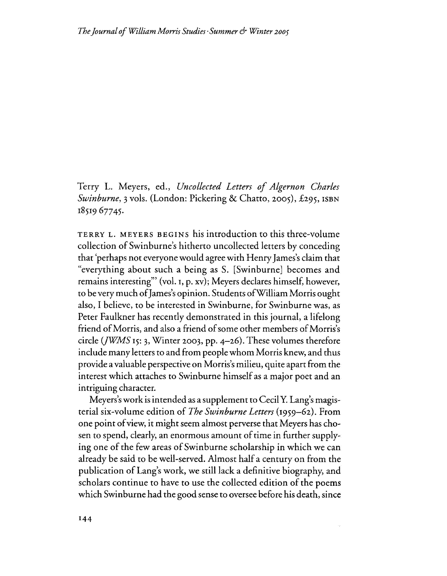Terry 1. Meyers, ed., *Uncollected Letters of Algernon Charles Swinburne,* 3 vols. (London: Pickering & Chatto, 2005), £295, ISBN 18519 67745.

TERRY L. MEYERS BEGINS his introduction to this three-volume collection of Swinburne's hitherto uncollected letters by conceding that 'perhaps not everyone would agree with Henry james's claim that "everything about such a being as S. [Swinburne] becomes and remains interesting"' (vol. 1, p. xv); Meyers declares himself, however, to be very much of James's opinion. Students of William Morris ought also, I believe, to be interested in Swinburne, for Swinburne was, as Peter Faulkner has recently demonstrated in this journal, a lifelong friend of Morris, and also a friend of some other members of Morris's circle *(fWMS* 15: 3, Winter 2003, pp. 4-26). These volumes therefore include many letters to and from peoplewhom Morris knew, and thus provide a valuable perspective on Morris's milieu, quite apart from the interest which attaches to Swinburne himself as a major poet and an intriguing character.

Meyers's work is intended as a supplement to CecilY. Lang's magisterial six-volume edition of *The Swinburne Letters* (1959-62). From one point of view, it might seem almost perverse that Meyers has chosen to spend, clearly, an enormous amount of time in further supplying one of the few areas of Swinburne scholarship in which we can already be said to be well-served. Almost half a century on from the publication ofLang's work, we still lack a definitive biography, and scholars continue to have to use the collected edition of the poems which Swinburne had the good sense to oversee before his death, since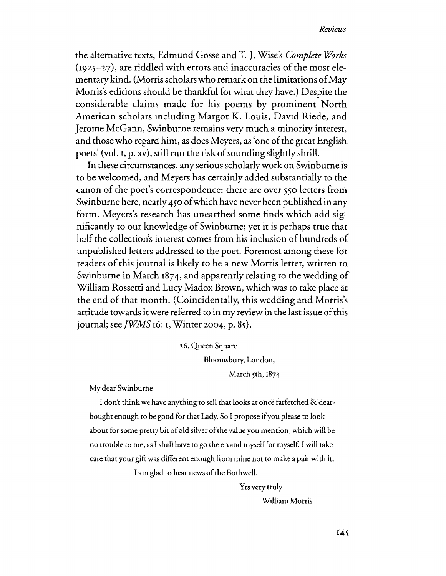the alternative texts, Edmund Gosse and T. J. Wise's *Complete W0rks*  $(1925-27)$ , are riddled with errors and inaccuracies of the most elementary kind. (Morrisscholars who remark on the limitations ofMay Morris's editions should be thankful for what they have.) Despite the considerable claims made for his poems by prominent North American scholars including Margot K. Louis, David Riede, and Jerome McGann, Swinburne remains very much a minority interest, and those who regard him, as does Meyers, as 'one of the great English poets' (vol. I, p. xv), still run the risk of sounding slightly shrill.

In these circumstances, any serious scholarlywork on Swinburne is to be welcomed, and Meyers has certainly added substantially to the canon of the poet's correspondence: there are over 550 letters from Swinburne here, nearly 450 ofwhich have never been published in any form. Meyers's research has unearthed some finds which add significantly to our knowledge of Swinburne; yet it is perhaps true that half the collection's interest comes from his inclusion of hundreds of unpublished letters addressed to the poet. Foremost among these for readers of this journal is likely to be a new Morris letter, written to Swinburne in March 1874, and apparently relating to the wedding of William Rossetti and Lucy Madox Brown, which was to take place at the end of that month. (Coincidentally, this wedding and Morris's attitude towards it were referred to in my review in the last issue ofthis journal; *see]WMSI6:* I, Winter 2004, p. 85).

> 26, Queen Square Bloomsbury, London, March  $\mathfrak{ch}$ ,  $1874$

My dear Swinburne

I don't think we have anything to sell that looks at once farfetched & dearbought enough to be good for that Lady. So I propose ifyou please to look about for some pretty bit of old silver of the value you mention, which will be no trouble to me, as I shall have to go the errand myself for myself. I will take care that your gift was different enough from mine not to make a pair with it.

I am glad to hear news of the Bothwell.

Yrs very truly WiHiam Morris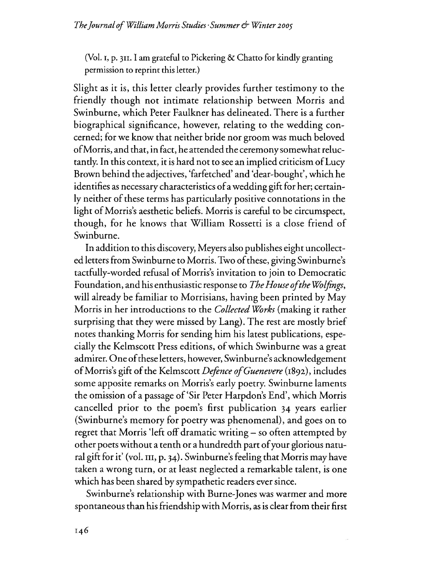(Vo!. I, p. 3II. I am grateful to Pickering & Chatto for kindly granting permission to reprint this letter.)

Slight as it is, this letter clearly provides further testimony to the friendly though not intimate relationship between Morris and Swinburne, which Peter Faulkner has delineated. There is a further biographical significance, however, relating to the wedding concerned; for we know that neither bride nor groom was much beloved ofMorris, and that, in fact, he attended the ceremonysomewhat reluctantly. In this context, it is hard not to see an implied criticism ofLuey Brown behind the adjectives, 'farfetched' and 'dear-bought', which he identifies as necessary characteristics of a wedding gift for her; certainly neither of these terms has particularly positive connotations in the light of Morris's aesthetic beliefs. Morris is careful to be circumspect, though, for he knows that William Rossetti is a close friend of Swinburne.

In addition to this discovery, Meyers also publishes eight uncollected letters from Swinburne to Morris. Two of these, giving Swinburne's tactfully-worded refusal of Morris's invitation to join to Democratic Foundation, and his enthusiastic response to *The House ofthe Wolfings,* will already be familiar to Morrisians, having been printed by May Morris in her introductions to the *Collected Works* (making it rather surprising that they were missed by Lang). The rest are mostly brief notes thanking Morris for sending him his latest publications, especially the Kelmscott Press editions, ofwhich Swinburne was a great admirer. One of these letters, however, Swinburne's acknowledgement of Morris's gift of the Kelmscott *Defence of Guenevere* (1892), includes some apposite remarks on Morris's early poetry. Swinburne laments the omission of a passage of 'Sir Peter Harpdon's End', which Morris cancelled prior to the poem's first publication 34 years earlier (Swinburne's memory for poetry was phenomenal), and goes on to regret that Morris 'left off dramatic writing – so often attempted by other poets without a tenth or a hundredth part of your glorious natural gift for it' (vol. III, p. 34). Swinburne's feeling that Morris may have taken a wrong turn, or at least neglected a remarkable talent, is one which has been shared by sympathetic readers ever since.

Swinburne's relationship with Burne-Jones was warmer and mote spontaneous than his friendship with Morris, as is clear from their first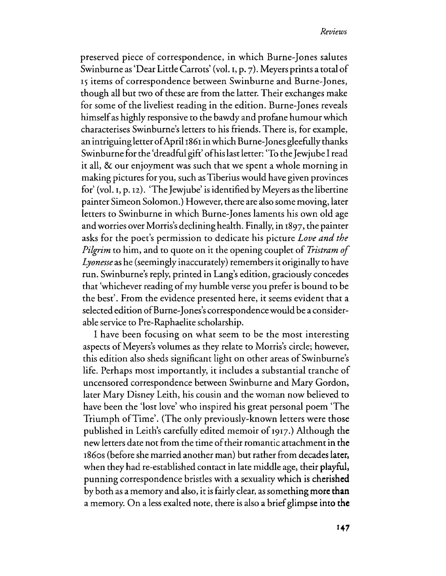preserved piece of correspondence, in which Burne-Jones salutes Swinburne as 'Dear Little Carrots' (vol. 1, p. 7). Meyers prints a total of 15 items of correspondence between Swinburne and Burne-Jones, though all but two of these are from the latter. Their exchanges make for some of the liveliest reading in the edition. Burne-Jones reveals himself as highly responsive to the bawdy and profane humour which characterises Swinburne's letters to his friends. There is, for example, an intriguing letterofApril 1861 inwhich Burne-Jones gleefully thanks Swinburne for the 'dreadful gift' of his last letter: 'To the Jewjube I read it all, & our enjoyment was such that we spent a whole morning in making pictures for you, such as Tiberius would have given provinces for' (vol. 1, p. 12). 'The Jewjube' is identified by Meyers as the libertine painter Simeon Solomon.) However, there are also some moving, later letters to Swinburne in which Burne-Jones laments his own old age and worries over Morris's declining health. Finally, in 1897, the painter asks for the poet's permission to dedicate his picture *Love and the Pilgrim* to him, and to quote on it the opening couplet of *Tristram of Lyonesse* as he (seemingly inaccurately) remembers it originally to have run. Swinburne's reply, printed in Lang's edition, graciously concedes that 'whichever reading of my humble verse you prefer is bound to be the best'. From the evidence presented here, it seems evident that a selected edition of Burne-Jones's correspondence would be a considerable service to Pre-Raphaelite scholarship.

I have been focusing on what seem to be the most interesting aspects of Meyers's volumes as they relate to Morris's circle; however, this edition also sheds significant light on other areas of Swinburne's life. Perhaps most importantly, it includes a substantial tranche of uncensored correspondence between Swinburne and Mary Gordon, later Mary Disney Leith, his cousin and the woman now believed to have been the 'lost love' who inspired his great personal poem 'The Triumph ofTime'. (The only previously-known letters were those published in Leith's carefully edited memoir of 1917.) Although the new letters date not from the time of their romantic attachment in the 1860s (before she married another man) but rather from decades later, when they had re-established contact in late middle age, their playful, punning correspondence bristles with a sexuality which is cherished by both as a memory and also, it is fairly clear, as something more than a memory. On a less exalted note, there is also a brief glimpse into the